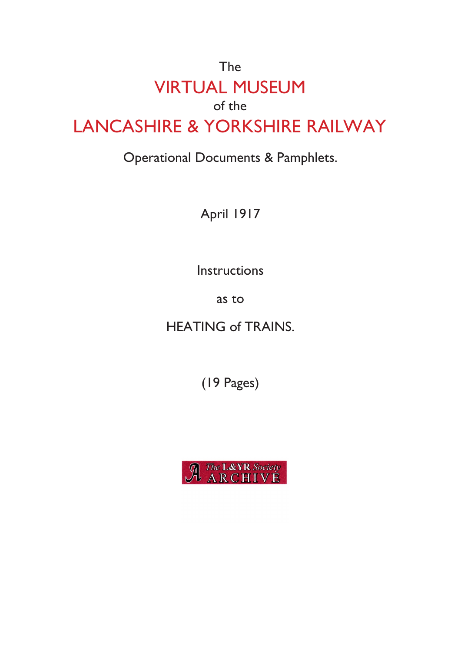## The VIRTUAL MUSEUM of the LANCASHIRE & YORKSHIRE RAILWAY

### Operational Documents & Pamphlets.

April 1917

Instructions

as to

HEATING of TRAINS.

(19 Pages)

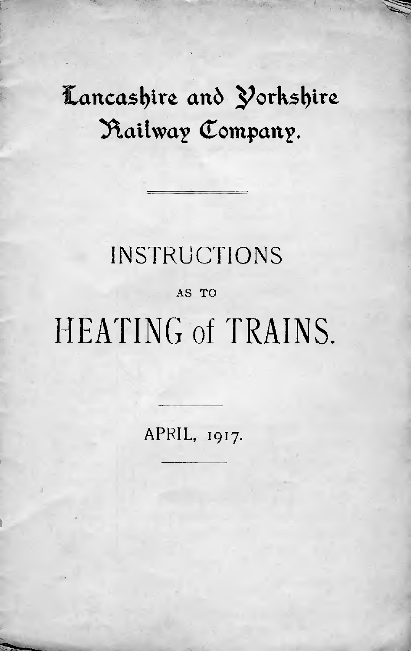### Lancashire and Yorkshire **^ 3\ailwa? Company.**

### INSTRUCTIONS

#### AS TO

# HEATING of TRAINS.

APRIL, 1917.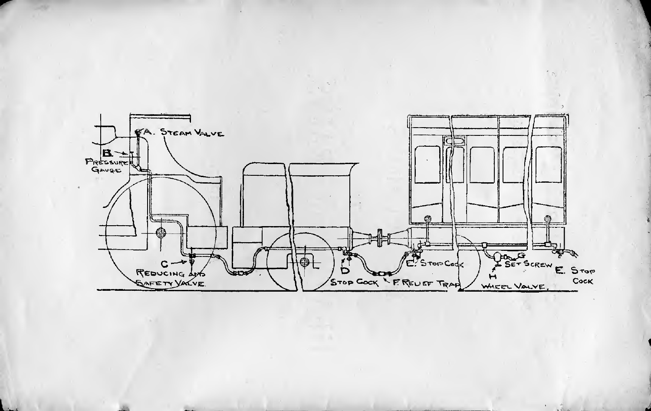

**L -** 1

\*

1

1

 $\overline{a}$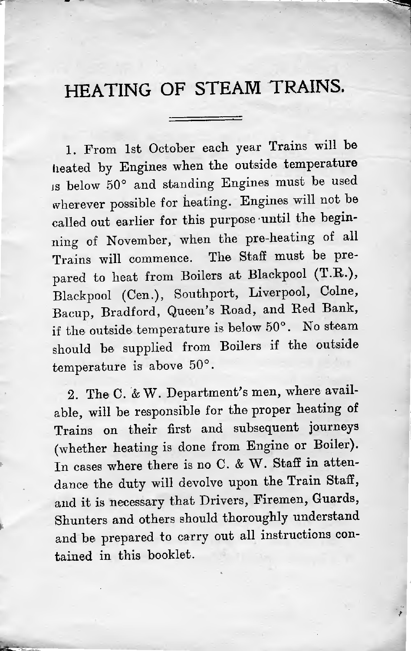### HEATING OF STEAM TRAINS.

1. From <sup>1</sup>st October each year Trains will be heated by Engines when the outside temperature Is below 50° and standing Engines must be used wherever possible for heating. Engines will not be called out earlier for this purpose until the beginning of November, when the pre-heating of all Trains will commence. The Staff must be pre pare<sup>d</sup> to heat from Boilers at Blackpool (T.R.), Blackpool (Cen.), Southport, Liverpool, Colne, Bacup, Bradford, Queen'<sup>s</sup> Hoad, and Red Bank, if the outside temperature is below <sup>50</sup>°. No steam should be supplied from Boilers if the outside temperature is above <sup>50</sup>°.

2. The <sup>C</sup>. & <sup>W</sup>. Department'<sup>s</sup> men, where available, will be responsible for the proper heating of Trains on their first and subsequent journeys (whether heating is done from Engine or Boiler). In cases where there is no C. & W. Staff in attendance the duty will devolve upon the Train Staff, and it is necessary that Drivers, Firemen, Guards, Shunters and others should thoroughly understand and be prepare<sup>d</sup> to carry out all instructions contained in this booklet.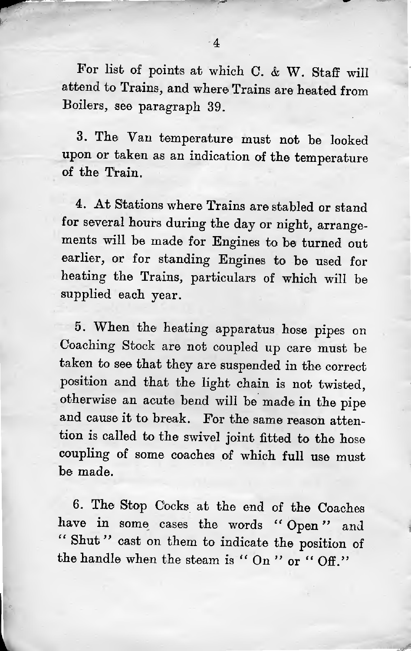For list of points at which C. & <sup>W</sup>. Staff will attend to Trains, and where Trains are heated from Boilers, see paragraph <sup>39</sup>.

<sup>3</sup>. The Yan temperature must not be looked upon or taken as an indication of the temperature of the Train.

<sup>4</sup>. At Stations where Trains are stabled or stand for several hours during the day or night, arrangements will be made for Engines to be turned out earlier, or for standing Engines to be used for heating the Trains, particulars of which will be supplied each year.

<sup>5</sup>. When the heating apparatus hose <sup>p</sup>ipes on Coaching Stock are not coupled up care must be taken to see that they are suspended in the correct position and that the light chain is not twisted, otherwise an acute bend will be made in the <sup>p</sup>ipe and cause it to break. For the same reason attention is called to the swivel joint fitted to the hose coupling of some coaches of which full use must be made.

<sup>6</sup>. The Stop Cocks at the end of the Coaches have in some cases the words " Open " and " Shut" cast on them to indicate the position of the handle when the steam is " On " or " Off."

1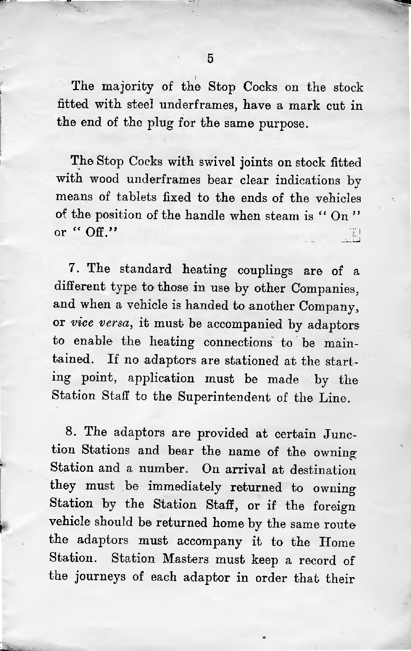*r*

The majority of the Stop Cocks on the stock fitted with steel underframes, have <sup>a</sup> mark cut in the end of the <sup>p</sup>lug for the same purpose.

The Stop Cocks with swivel joints on stock fitted with wood underframes bear clear indications by means of tablets fixed to the ends of the vehicles of the position of the handle when steam is " On "or "  $\mathrm{Off.}$ " 11 |

<sup>7</sup>. The standard heating couplings are of <sup>a</sup> different type to those in use by other Companies, and when <sup>a</sup> vehicle is handed to another Company, or *vice versa*, it must be accompanied by adaptors to enable the heating connections to be maintained. If no adaptors are stationed at the starting point, application must be made by the Station Staff to the Superintendent of the Line.

<sup>8</sup>. The adaptors are provided at certain Junction Stations and bear the name of the owning Station and <sup>a</sup> number. On arrival at destination they must be immediately returned to owning Station by the Station Staff, or if the foreign vehicle should be returned home by the same route the adaptors must accompany it to the Home Station. Station Masters must keep <sup>a</sup> record of the journeys of each adaptor in order that their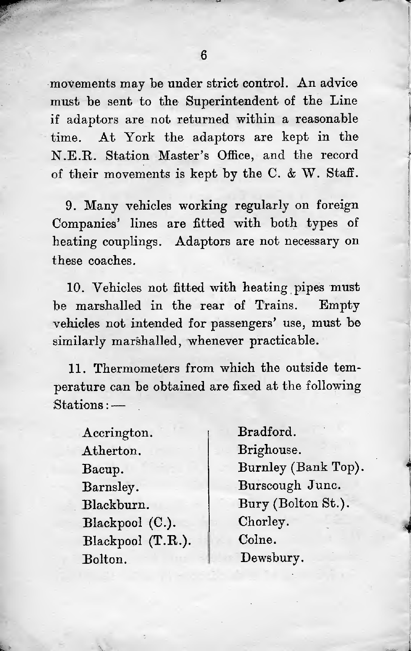movements may be under strict control. An advice must be sent to the Superintendent of the Line if adaptors are not returned within a reasonable time. At York the adaptors are kept in the N.E.R. Station Master's Office, and the record of their movements is kept by the C.  $&\mathbf{W}$ . Staff.

9. Many vehicles working regularly on foreign Companies' lines are fitted with both types of heating couplings. Adaptors are not necessary on these coaches.

10. Vehicles not fitted with heating pipes must be marshalled in the rear of Trains, Empty vehicles not intended for passengers' use, must be similarly marshalled, whenever practicable.

11. Thermometers from which the outside temperature can be obtained are fixed at the following Stations:—

Accrington. Atherton. Bacup. Barnsley. Blackburn. Blackpool (C.). Blackpool (T.R.). Bolton.

Bradford. Brighouse. Burnley (Bank Top). Burscough June. Bury (Bolton St.). Chorley. Colne. Dewsbury.

2 \*

*4*

,

**r**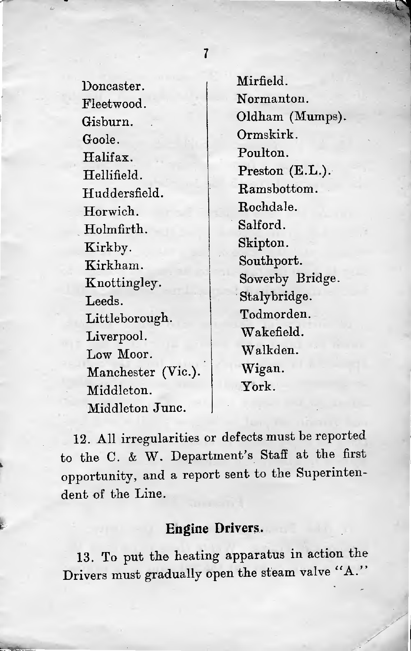Doncaster. Fleetwood. Gisburn. Goole. Halifax. Hellifield. Huddersfield. Horwich. Holmfirth. Kirkby. Kirkham. Knottingley. Leeds. Littleborough. Liverpool. Low Moor. Manchester (Vic.). Middleton. Middleton June.

t.

Mirfield. Normanton. Oldham (Mumps). Ormskirk. Poulton. Preston (E.L.). Ramsbottom. Rochdale. Salford. Skipton. Southport. Sowerby Bridge. Stalybridge. Todmorden. Wakefield. Walkden. Wigan. York.

<sup>12</sup>. All irregularities or defects must be reported to the <sup>C</sup>. & <sup>W</sup>. Department'<sup>s</sup> Staff at the first opportunity, and <sup>a</sup> repor<sup>t</sup> sent to the Superintendent of the Line.

#### **Engine Drivers.**

13. To pu<sup>t</sup> the heating apparatus in action the Drivers must gradually open the steam valve "A."

7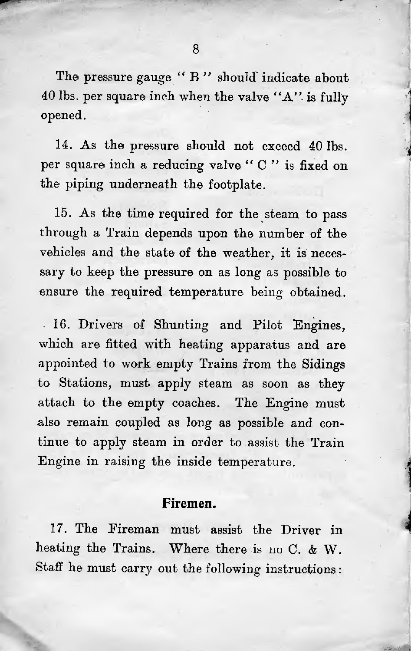The pressure gauge " B" should indicate about <sup>40</sup> lbs. per square inch when the valve "A", is fully opened.

1

*i* 

14. As the pressure should not exceed 40 lbs. per square inch a reducing valve "C" is fixed on the piping underneath the footplate.

15. As the time required for the steam to pass through a Train depends upon the number of the vehicles and the state of the weather, it is necessary to keep the pressure on as long as possible to ensure the required temperature being obtained.

• 16. Drivers of Shunting and Pilot Engines, which are fitted with heating apparatus and are appointed to work empty Trains from the Sidings to Stations, must apply steam as soon as they attach to the empty coaches. The Engine must also remain coupled as long as possible and continue to apply steam in order to assist the Train Engine in raising the inside temperature.

#### **Firemen.**

17. The Fireman must assist the Driver in heating the Trains. Where there is no C. & W. Staff he must carry out the following instructions: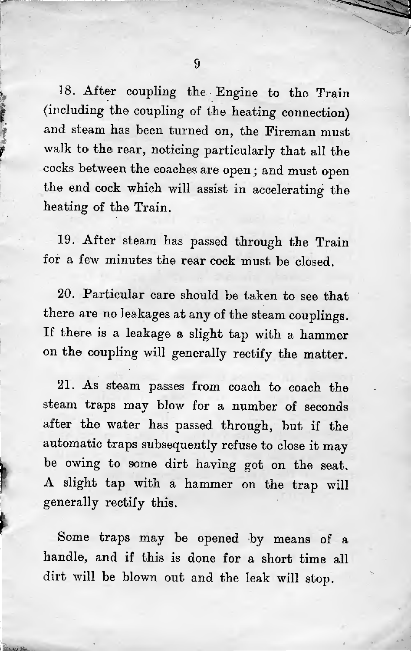<sup>18</sup>. After coupling the Engine to the Train (including the coupling of the heating connection) and steam has been turned on, the Fireman must walk to the rear, noticing particularly that all the cocks between the coaches are open; and must open the end cock which will assist in accelerating the heating of the Train.

<sup>19</sup>. After steam has passed through the Train for <sup>a</sup> few minutes the rear cock must be closed.

20. Particular care should be taken to see that there are no leakages at any of the steam couplings. If there is <sup>a</sup> leakage <sup>a</sup> slight tap with <sup>a</sup> hammer on the coupling will generally rectify the matter.

<sup>21</sup>. As steam passes from coach to coach the steam traps may blow for <sup>a</sup> number of seconds after the water has passed through, but if the automatic traps subsequently refuse to close it may be owing to some dirt having got on the seat. <sup>A</sup> slight tap with <sup>a</sup> hammer on the trap will generally rectify this.

Some traps may be opened by means of <sup>a</sup> handle, and if this is done for <sup>a</sup> short time all dirt will be blown out and the leak will stop.

*U*

if

 $\lambda$  and  $\lambda$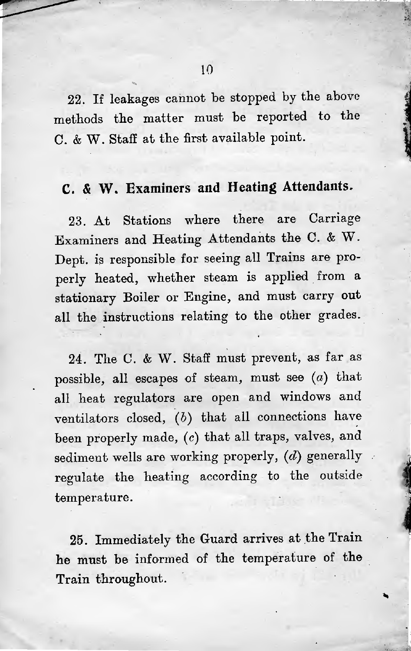<sup>22</sup>. If leakages cannot be stopped by the above methods the matter must be reported to the C. & W. Staff at the first available point.

#### **C.** *&* **W. Examiners and Heating Attendants.**

23. At Stations where there are Carriage Examiners and Heating Attendants the C. & <sup>W</sup>. Dept, is responsible for seeing all Trains are properly heated, whether steam is applied from <sup>a</sup> stationary Boiler or Engine, and must carry out all the instructions relating to the other grades.

<sup>24</sup>. The C. & <sup>W</sup>. Staff must prevent, as far as possible, all escapes of steam, must see  $(a)$  that all heat regulators are open and windows and ventilators closed,  $(b)$  that all connections have been properly made, (c) that all traps, valves, and sediment wells are working properly,  $(d)$  generally regulate the heating according to the outside temperature.

<sup>25</sup>. Immediately the Guard arrives at the Train he must be informed of the temperature of the Train throughout.

a

ا دارن<br>برابر<br>برابر

**lives of the American**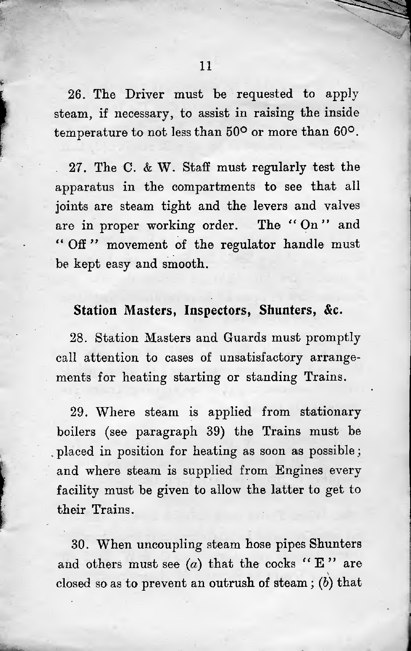26. The Driver must be requested to apply steam, if necessary, to assist in raising the inside temperature to not less than  $50^{\circ}$  or more than  $60^{\circ}$ .

. 27. The C. & W. Staff must regularly test the apparatus in the compartments to see that all joints are steam tight and the levers and valves are in proper working order. The "On" and " Off" movement of the regulator handle must be kept easy and smooth.

#### **Station Masters, Inspectors, Shunters, &c.**

28. Station Masters and Guards must promptly call attention to cases of unsatisfactory arrangements for heating starting or standing Trains.

29. Where steam is applied from stationary boilers (see paragraph 39) the Trains must be , placed in position for heating as soon as possible ; and where steam is supplied from Engines every facility must be given to allow the latter to get to their Trains.

30. When uncoupling steam hose pipes Shunters and others must see (a) that the cocks "E" are closed so as to prevent an outrush of steam;  $(b)$  that

*rr k*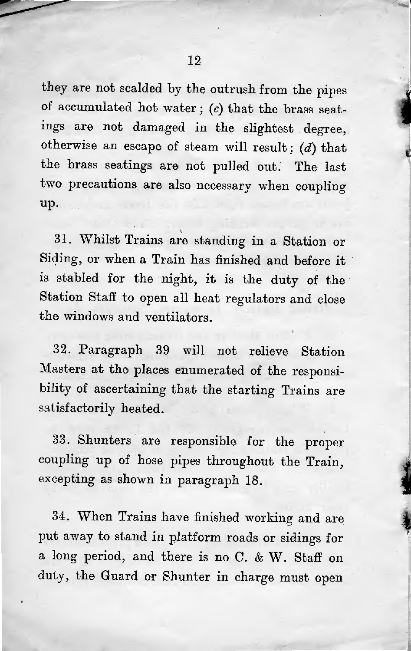*i*

they are not scalded by the outrush from the <sup>p</sup>ipes of accumulated hot water; *( <sup>c</sup>)* that the brass seatings are not damaged in the slightest degree, otherwise an escape of steam will result; (*d*) that the brass seatings are not pulled out. The last two precautions are also necessary when coupling up.

<sup>31</sup>. Whilst Trains are standing in <sup>a</sup> Station or Siding, or when <sup>a</sup> Train has finished and before it is stabled for the night, it is the duty of the Station Staff to open all heat regulators and close the windows and ventilators.

<sup>32</sup>. Paragraph 39 will not relieve Station Masters at the <sup>p</sup>laces enumerated of the responsibility of ascertaining that the starting Trains are satisfactorily heated.

<sup>33</sup>. Shunters are responsible for the proper coupling up of hose <sup>p</sup>ipes throughout the Train, excepting as shown in paragraph <sup>18</sup>.

<sup>34</sup>. When Trains have finished working and are put away to stand in <sup>p</sup>latform roads or sidings for <sup>a</sup> long period, and there is no C. & W. Staff on duty, the Guard or Shunter in charge must open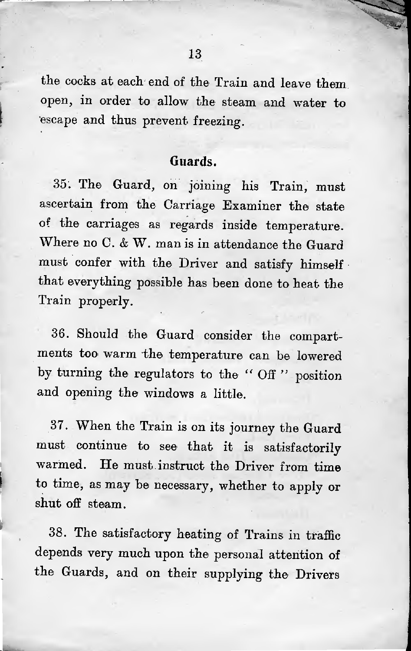the cocks at each end of the Train and leave them open, in order to allow the steam and water to escape and thus prevent freezing.

#### **Guards.**

<sup>35</sup>. The Guard, on joining his Train, must ascertain from the Carriage Examiner the state of the carriages as regards inside temperature. Where no C. & W. man is in attendance the Guard must confer with the Driver and satisfy himself • that everything possible has been done to heat the Train properly.

<sup>36</sup>. Should the Guard consider the compartments too warm the temperature can be lowered by turning the regulators to the " Off " position and opening the windows <sup>a</sup> little.

<sup>37</sup>. When the Train is on its journey the Guard must continue to see that it is satisfactorily warmed. He must instruct the Driver from time to time, as may be necessary, whether to apply or shut off steam.

 $\mathbf{I}$ 

38. The satisfactory heating of Trains in traffic depends very much upon the personal attention of the Guards, and on their supplying the Drivers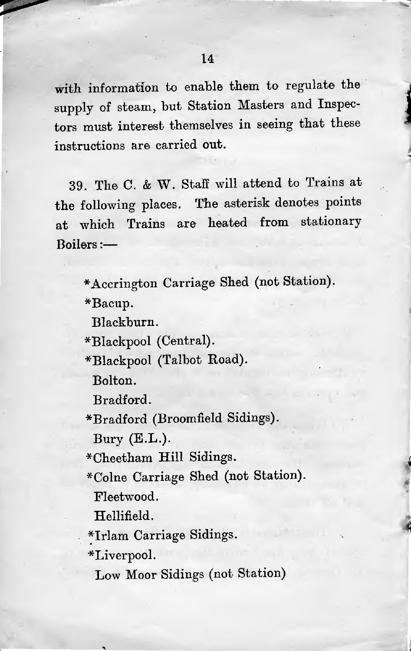with information to enable them to regulate the supply of steam, but Station Masters and Inspectors must interest themselves in seeing that these instructions are carried out.

39. The C. & W. Staff will attend to Trains at the following <sup>p</sup>laces. The asterisk denotes points at which Trains are heated from stationary Boilers:—

\*Accrington Carriage Shed (not Station).

\*Bacup.

Blackburn.

\*Blackpool (Central).

\*Blackpool (Talbot Road).

Bolton.

Bradford.

^Bradford (Broomfield Sidings).

Bury (E.L.).

\*Cheetham Hill Sidings.

\*Colne Carriage Shed (not Station).

*\**

A4

Fleetwood.

Hellifield.

\*Irlam Carriage Sidings.

\*Liverpool.

Low Moor Sidings (not Station)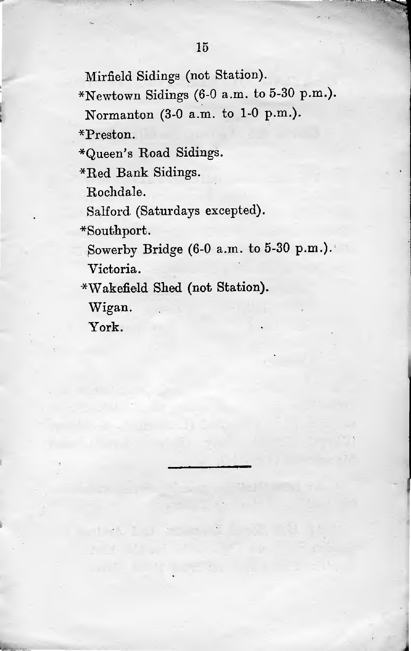Mirfield Sidings (not Station).

\*Newtown Sidings (6-0 a.m. to 5-30 p.m.).

Normanton (3-<sup>0</sup> <sup>a</sup>.m. to <sup>1</sup>-<sup>0</sup> p.m.).

\*Preston.

\*Queen's Road Sidings.

\*Red Bank Sidings.

Rochdale.

Salford (Saturdays excepted).

\*Southport.

Sowerby Bridge (6-<sup>0</sup> <sup>a</sup>.m. to <sup>5</sup>-<sup>30</sup> <sup>p</sup>.m.).'

i

Victoria.

\*Wakefield Shed (not Station).

Wigan.

York.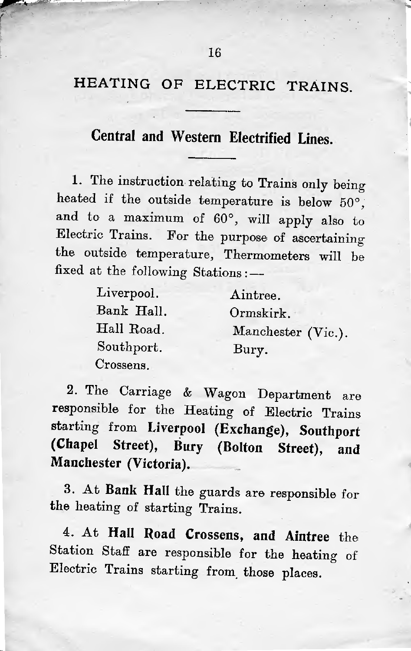#### **Central and Western Electrified Lines.**

i

<sup>1</sup>. The instruction relating to Trains only being heated if the outside temperature is below <sup>50</sup>°, and to <sup>a</sup> maximum of <sup>60</sup>°, will apply also to Electric Trains. For the purpose of ascertaining the outside temperature, Thermometers will be fixed at the following Stations:—

| Liverpool. | Aintree.           |
|------------|--------------------|
| Bank Hall. | Ormskirk.          |
| Hall Road. | Manchester (Vic.). |
| Southport. | Bury.              |
| Crossens.  |                    |

<sup>2</sup>. The Carriage & Wagon Department are responsible for the Heating of Electric Trains starting from **Liverpool (Exchange), Southport (Chapel Street), Bury (Bolton Street), and Manchester (Victoria).**

**<sup>3</sup>.** At **Bank Hall** the guards are responsible for the heating of starting Trains.

<sup>4</sup>. At **Hall Road Crossens, and Aintree** the Station Staff are responsible for the heating of Electric Trains starting from those <sup>p</sup>laces.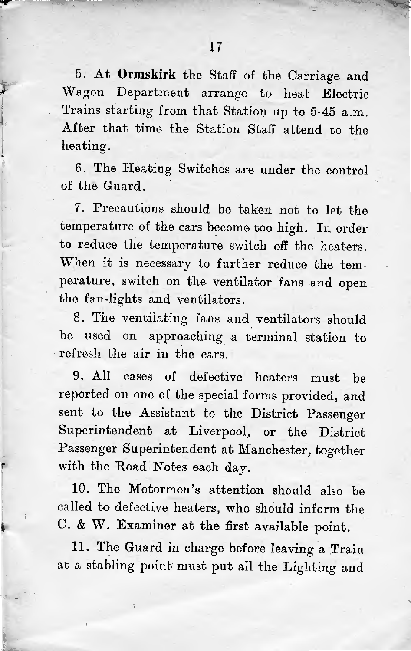<sup>5</sup>. At **Ormskirk** the Staff of the Carriage and Wagon Department arrange to heat Electric Trains starting from that Station up to <sup>5</sup>-<sup>45</sup> <sup>a</sup>.m. After that time the Station Staff attend to the heating.

\*

I

r

\*

<sup>6</sup>. The Heating Switches are under the control of the Guard.

7. Precautions should be taken not to let the temperature of the cars become too high. In order to reduce the temperature switch off the heaters. When it is necessary to further reduce the temperature, switch on the ventilator fans and open the fan-lights and ventilators.

<sup>8</sup>. The ventilating fans and ventilators should be used on approaching <sup>a</sup> terminal station to refresh the air in the cars.

9. All cases of defective heaters must be reported on one of the special forms provided, and sent to the Assistant to the District Passenger Superintendent at Liverpool, or the District Passenger Superintendent at Manchester, together with the Road Notes each day.

10. The Motormen'<sup>s</sup> attention should also be called to defective heaters, who should inform the <sup>C</sup>. & <sup>W</sup>. Examiner at the first available point.

<sup>11</sup>. The Guard in charge before leaving <sup>a</sup> Train at <sup>a</sup> stabling point must put all the Lighting and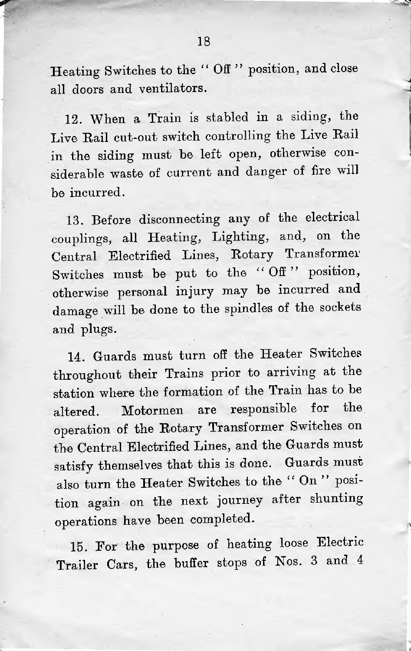Heating Switches to the " Off " position, and close all doors and ventilators.

12. When <sup>a</sup> Train is stabled in <sup>a</sup> siding, the Live Hail cut-out switch controlling the Live Rail in the siding must be left open, otherwise considerable waste of current and danger of fire will be incurred.

<sup>13</sup>. Before disconnecting any of the electrical couplings, all Heating, Lighting, and, on the Central Electrified Lines, Rotary Transformer Switches must be put to the "Off" position, otherwise persona<sup>l</sup> injury may be incurred and damage will be done to the spindles of the sockets and plugs.

<sup>14</sup>. Guards must turn off the Heater Switches throughout their Trains prior to arriving at the station where the formation of the Train has to be altered. Motormen are responsible for the operation of the Rotary Transformer Switches on the Central Electrified Lines, and the Guards must satisfy themselves that this is done. Guards must also turn the Heater Switches to the " On " position again on the next journey after shunting operations have been completed.

<sup>15</sup>. For the purpose of heating loose Electric Trailer Cars, the buffer stops of Nos. <sup>3</sup> and <sup>4</sup> \*

i'5